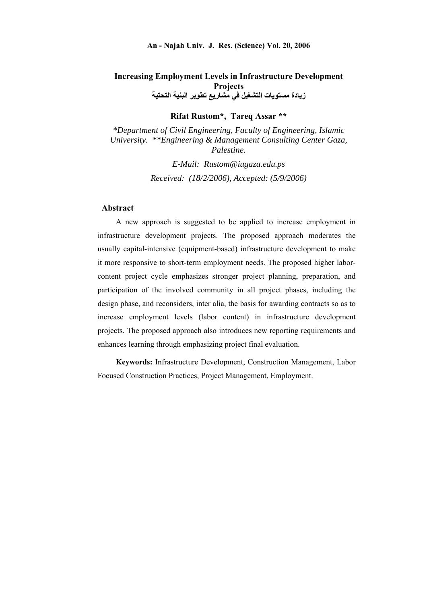## **Increasing Employment Levels in Infrastructure Development Projects زيادة مستويات التشغيل في مشاريع تطوير البنية التحتية**

**Rifat Rustom\*, Tareq Assar \*\*** 

*\*Department of Civil Engineering, Faculty of Engineering, Islamic University. \*\*Engineering & Management Consulting Center Gaza, Palestine.* 

> *E-Mail: Rustom@iugaza.edu.ps Received: (18/2/2006), Accepted: (5/9/2006)*

### **Abstract**

A new approach is suggested to be applied to increase employment in infrastructure development projects. The proposed approach moderates the usually capital-intensive (equipment-based) infrastructure development to make it more responsive to short-term employment needs. The proposed higher laborcontent project cycle emphasizes stronger project planning, preparation, and participation of the involved community in all project phases, including the design phase, and reconsiders, inter alia, the basis for awarding contracts so as to increase employment levels (labor content) in infrastructure development projects. The proposed approach also introduces new reporting requirements and enhances learning through emphasizing project final evaluation.

**Keywords:** Infrastructure Development, Construction Management, Labor Focused Construction Practices, Project Management, Employment.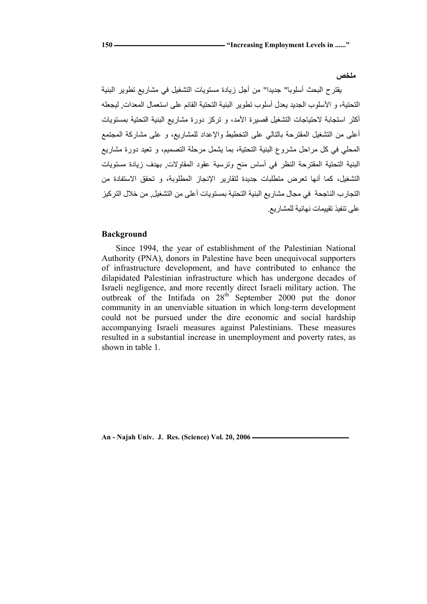**ملخص** 

يقترح البحث أسلوبا" جديدا" من أجل زيادة مستويات التشغيل في مشاريع تطوير البنية التحتية، و الأسلوب الجديد يعدل أسلوب تطوير البنية التحتية القائم على استعمال المعدات, ليجعله أكثر استجابة لاحتياجات التشغيل قصيرة الأمد، و تركز دورة مشاريع البنية التحتية بمستويات أعلى من التشغيل المقترحة بالتالي على التخطيط والإعداد للمشاريع، و على مشارآة المجتمع المحلي في كل مراحل مشروع البنية التحتية، بما يشمل مرحلة التصميم، و تعيد دورة مشاريع البنية التحتية المقترحة النظر في أساس منح وترسية عقود المقاولات, بهدف زيادة مستويات التشغيل، كما أنها تعرض متطلبات جديدة لتقارير الإنجاز المطلوبة، و تحقق الاستفادة من التجارب الناجحة في مجال مشاريع البنية التحتية بمستويات أعلى من التشغيل. من خلال التركيز على تنفيذ تقييمات نهائية للمشاريع.

### **Background**

Since 1994, the year of establishment of the Palestinian National Authority (PNA), donors in Palestine have been unequivocal supporters of infrastructure development, and have contributed to enhance the dilapidated Palestinian infrastructure which has undergone decades of Israeli negligence, and more recently direct Israeli military action. The outbreak of the Intifada on 28<sup>th</sup> September 2000 put the donor community in an unenviable situation in which long-term development could not be pursued under the dire economic and social hardship accompanying Israeli measures against Palestinians. These measures resulted in a substantial increase in unemployment and poverty rates, as shown in table 1.

An - Najah Univ. J. Res. (Science) Vol. 20, 2006 *An - Najah Univ. J. Res. (Science)* Vol. 20, 2006 *An*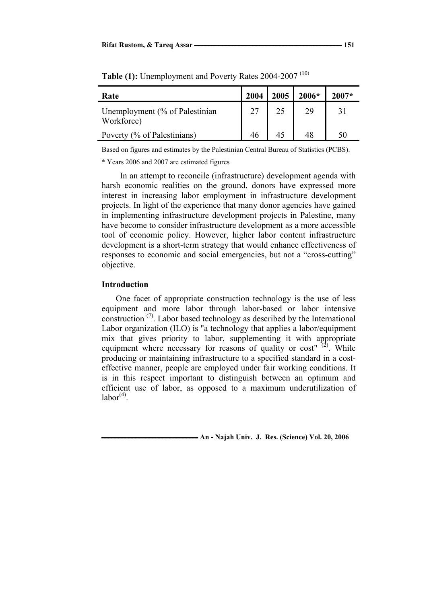| Rate                                         | 2004 | 2005 | $2006*$ | $2007*$ |
|----------------------------------------------|------|------|---------|---------|
| Unemployment (% of Palestinian<br>Workforce) |      | 25   | 29      |         |
| Poverty (% of Palestinians)                  |      | 45   |         |         |

**Table (1):** Unemployment and Poverty Rates 2004-2007 (10)

Based on figures and estimates by the Palestinian Central Bureau of Statistics (PCBS).

\* Years 2006 and 2007 are estimated figures

In an attempt to reconcile (infrastructure) development agenda with harsh economic realities on the ground, donors have expressed more interest in increasing labor employment in infrastructure development projects. In light of the experience that many donor agencies have gained in implementing infrastructure development projects in Palestine, many have become to consider infrastructure development as a more accessible tool of economic policy. However, higher labor content infrastructure development is a short-term strategy that would enhance effectiveness of responses to economic and social emergencies, but not a "cross-cutting" objective.

#### **Introduction**

One facet of appropriate construction technology is the use of less equipment and more labor through labor-based or labor intensive construction (7). Labor based technology as described by the International Labor organization (ILO) is "a technology that applies a labor/equipment mix that gives priority to labor, supplementing it with appropriate equipment where necessary for reasons of quality or cost"  $(2)$ . While producing or maintaining infrastructure to a specified standard in a costeffective manner, people are employed under fair working conditions. It is in this respect important to distinguish between an optimum and efficient use of labor, as opposed to a maximum underutilization of  $labor<sup>(4)</sup>$ .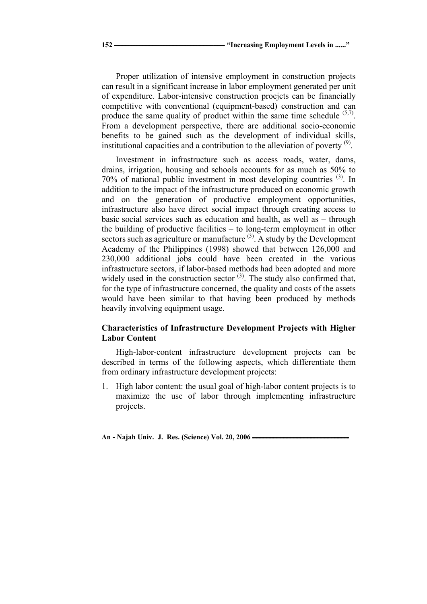Proper utilization of intensive employment in construction projects can result in a significant increase in labor employment generated per unit of expenditure. Labor-intensive construction proejcts can be financially competitive with conventional (equipment-based) construction and can produce the same quality of product within the same time schedule  $(5,7)$ . From a development perspective, there are additional socio-economic benefits to be gained such as the development of individual skills, institutional capacities and a contribution to the alleviation of poverty  $(9)$ .

Investment in infrastructure such as access roads, water, dams, drains, irrigation, housing and schools accounts for as much as 50% to 70% of national public investment in most developing countries (3). In addition to the impact of the infrastructure produced on economic growth and on the generation of productive employment opportunities, infrastructure also have direct social impact through creating access to basic social services such as education and health, as well as – through the building of productive facilities – to long-term employment in other sectors such as agriculture or manufacture  $(3)$ . A study by the Development Academy of the Philippines (1998) showed that between 126,000 and 230,000 additional jobs could have been created in the various infrastructure sectors, if labor-based methods had been adopted and more widely used in the construction sector  $(3)$ . The study also confirmed that, for the type of infrastructure concerned, the quality and costs of the assets would have been similar to that having been produced by methods heavily involving equipment usage.

## **Characteristics of Infrastructure Development Projects with Higher Labor Content**

High-labor-content infrastructure development projects can be described in terms of the following aspects, which differentiate them from ordinary infrastructure development projects:

1. High labor content: the usual goal of high-labor content projects is to maximize the use of labor through implementing infrastructure projects.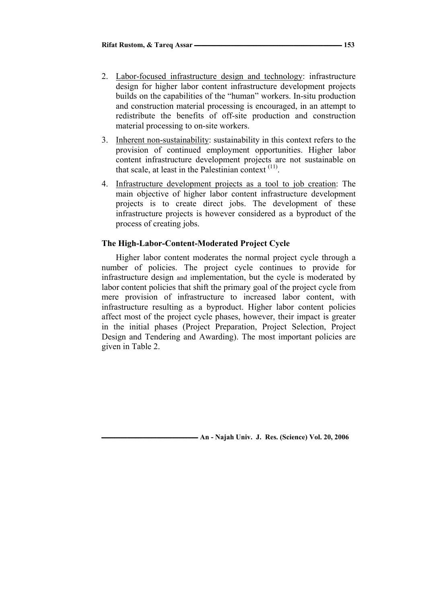- 2. Labor-focused infrastructure design and technology: infrastructure design for higher labor content infrastructure development projects builds on the capabilities of the "human" workers. In-situ production and construction material processing is encouraged, in an attempt to redistribute the benefits of off-site production and construction material processing to on-site workers.
- 3. Inherent non-sustainability: sustainability in this context refers to the provision of continued employment opportunities. Higher labor content infrastructure development projects are not sustainable on that scale, at least in the Palestinian context  $(11)$ .
- 4. Infrastructure development projects as a tool to job creation: The main objective of higher labor content infrastructure development projects is to create direct jobs. The development of these infrastructure projects is however considered as a byproduct of the process of creating jobs.

### **The High-Labor-Content-Moderated Project Cycle**

Higher labor content moderates the normal project cycle through a number of policies. The project cycle continues to provide for infrastructure design and implementation, but the cycle is moderated by labor content policies that shift the primary goal of the project cycle from mere provision of infrastructure to increased labor content, with infrastructure resulting as a byproduct. Higher labor content policies affect most of the project cycle phases, however, their impact is greater in the initial phases (Project Preparation, Project Selection, Project Design and Tendering and Awarding). The most important policies are given in Table 2.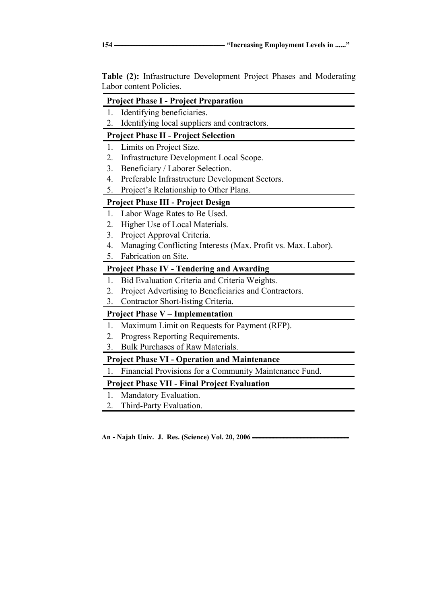**Table (2):** Infrastructure Development Project Phases and Moderating Labor content Policies.

## **Project Phase I - Project Preparation**

- 1. Identifying beneficiaries.
- 2. Identifying local suppliers and contractors.

# **Project Phase II - Project Selection**

- 1. Limits on Project Size.
- 2. Infrastructure Development Local Scope.
- 3. Beneficiary / Laborer Selection.
- 4. Preferable Infrastructure Development Sectors.
- 5. Project's Relationship to Other Plans.

# **Project Phase III - Project Design**

- 1. Labor Wage Rates to Be Used.
- 2. Higher Use of Local Materials.
- 3. Project Approval Criteria.
- 4. Managing Conflicting Interests (Max. Profit vs. Max. Labor).
- 5. Fabrication on Site.

# **Project Phase IV - Tendering and Awarding**

- 1. Bid Evaluation Criteria and Criteria Weights.
- 2. Project Advertising to Beneficiaries and Contractors.
- 3. Contractor Short-listing Criteria.

# **Project Phase V – Implementation**

- 1. Maximum Limit on Requests for Payment (RFP).
- 2. Progress Reporting Requirements.
- 3. Bulk Purchases of Raw Materials.

# **Project Phase VI - Operation and Maintenance**

1. Financial Provisions for a Community Maintenance Fund.

# **Project Phase VII - Final Project Evaluation**

- 1. Mandatory Evaluation.
- 2. Third-Party Evaluation.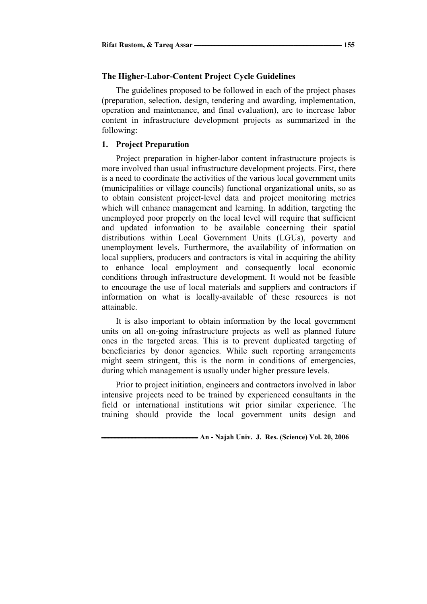### **The Higher-Labor-Content Project Cycle Guidelines**

The guidelines proposed to be followed in each of the project phases (preparation, selection, design, tendering and awarding, implementation, operation and maintenance, and final evaluation), are to increase labor content in infrastructure development projects as summarized in the following:

### **1. Project Preparation**

Project preparation in higher-labor content infrastructure projects is more involved than usual infrastructure development projects. First, there is a need to coordinate the activities of the various local government units (municipalities or village councils) functional organizational units, so as to obtain consistent project-level data and project monitoring metrics which will enhance management and learning. In addition, targeting the unemployed poor properly on the local level will require that sufficient and updated information to be available concerning their spatial distributions within Local Government Units (LGUs), poverty and unemployment levels. Furthermore, the availability of information on local suppliers, producers and contractors is vital in acquiring the ability to enhance local employment and consequently local economic conditions through infrastructure development. It would not be feasible to encourage the use of local materials and suppliers and contractors if information on what is locally-available of these resources is not attainable.

It is also important to obtain information by the local government units on all on-going infrastructure projects as well as planned future ones in the targeted areas. This is to prevent duplicated targeting of beneficiaries by donor agencies. While such reporting arrangements might seem stringent, this is the norm in conditions of emergencies, during which management is usually under higher pressure levels.

Prior to project initiation, engineers and contractors involved in labor intensive projects need to be trained by experienced consultants in the field or international institutions wit prior similar experience. The training should provide the local government units design and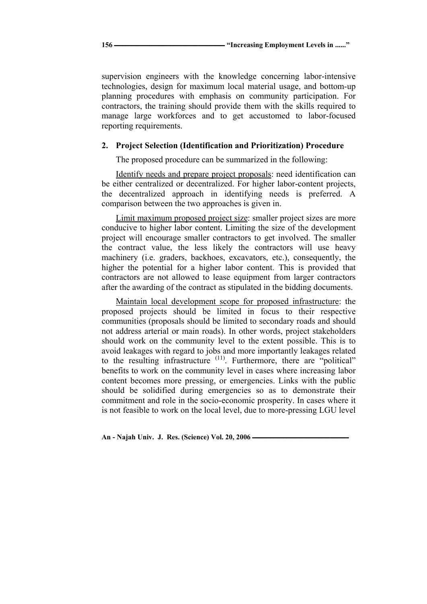supervision engineers with the knowledge concerning labor-intensive technologies, design for maximum local material usage, and bottom-up planning procedures with emphasis on community participation. For contractors, the training should provide them with the skills required to manage large workforces and to get accustomed to labor-focused reporting requirements.

### **2. Project Selection (Identification and Prioritization) Procedure**

The proposed procedure can be summarized in the following:

Identify needs and prepare project proposals: need identification can be either centralized or decentralized. For higher labor-content projects, the decentralized approach in identifying needs is preferred. A comparison between the two approaches is given in.

Limit maximum proposed project size: smaller project sizes are more conducive to higher labor content. Limiting the size of the development project will encourage smaller contractors to get involved. The smaller the contract value, the less likely the contractors will use heavy machinery (i.e. graders, backhoes, excavators, etc.), consequently, the higher the potential for a higher labor content. This is provided that contractors are not allowed to lease equipment from larger contractors after the awarding of the contract as stipulated in the bidding documents.

Maintain local development scope for proposed infrastructure: the proposed projects should be limited in focus to their respective communities (proposals should be limited to secondary roads and should not address arterial or main roads). In other words, project stakeholders should work on the community level to the extent possible. This is to avoid leakages with regard to jobs and more importantly leakages related to the resulting infrastructure <sup>(11)</sup>. Furthermore, there are "political" benefits to work on the community level in cases where increasing labor content becomes more pressing, or emergencies. Links with the public should be solidified during emergencies so as to demonstrate their commitment and role in the socio-economic prosperity. In cases where it is not feasible to work on the local level, due to more-pressing LGU level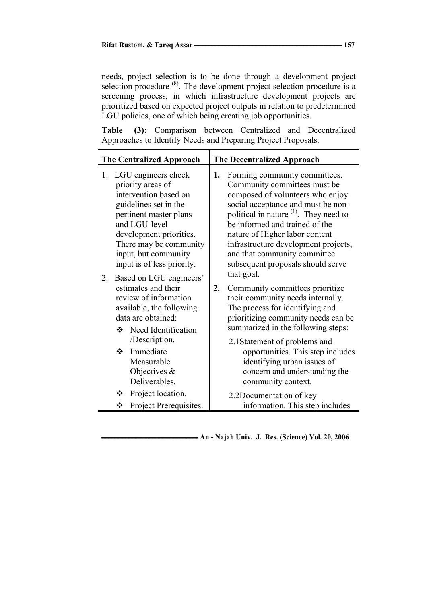needs, project selection is to be done through a development project selection procedure  $(8)$ . The development project selection procedure is a screening process, in which infrastructure development projects are prioritized based on expected project outputs in relation to predetermined LGU policies, one of which being creating job opportunities.

**Table (3):** Comparison between Centralized and Decentralized Approaches to Identify Needs and Preparing Project Proposals.

| <b>The Centralized Approach</b>                                                                                                                                                                                                                                                                                                                                                                                 | <b>The Decentralized Approach</b>                                                                                                                                                                                                                                                                                                                                                                 |
|-----------------------------------------------------------------------------------------------------------------------------------------------------------------------------------------------------------------------------------------------------------------------------------------------------------------------------------------------------------------------------------------------------------------|---------------------------------------------------------------------------------------------------------------------------------------------------------------------------------------------------------------------------------------------------------------------------------------------------------------------------------------------------------------------------------------------------|
| 1. LGU engineers check<br>priority areas of<br>intervention based on<br>guidelines set in the<br>pertinent master plans<br>and LGU-level<br>development priorities.<br>There may be community<br>input, but community<br>input is of less priority.<br>Based on LGU engineers'<br>2.<br>estimates and their<br>review of information<br>available, the following<br>data are obtained:<br>❖ Need Identification | Forming community committees.<br>1.<br>Community committees must be<br>composed of volunteers who enjoy<br>social acceptance and must be non-<br>political in nature <sup>(1)</sup> . They need to<br>be informed and trained of the<br>nature of Higher labor content<br>infrastructure development projects,<br>and that community committee<br>subsequent proposals should serve<br>that goal. |
|                                                                                                                                                                                                                                                                                                                                                                                                                 | 2.<br>Community committees prioritize<br>their community needs internally.<br>The process for identifying and<br>prioritizing community needs can be<br>summarized in the following steps:                                                                                                                                                                                                        |
| /Description.<br>Immediate<br>❖<br>Measurable<br>Objectives $\&$<br>Deliverables.                                                                                                                                                                                                                                                                                                                               | 2.1 Statement of problems and<br>opportunities. This step includes<br>identifying urban issues of<br>concern and understanding the<br>community context.                                                                                                                                                                                                                                          |
| Project location.<br>❖<br>Project Prerequisites.<br>❖                                                                                                                                                                                                                                                                                                                                                           | 2.2D ocumentation of key<br>information. This step includes                                                                                                                                                                                                                                                                                                                                       |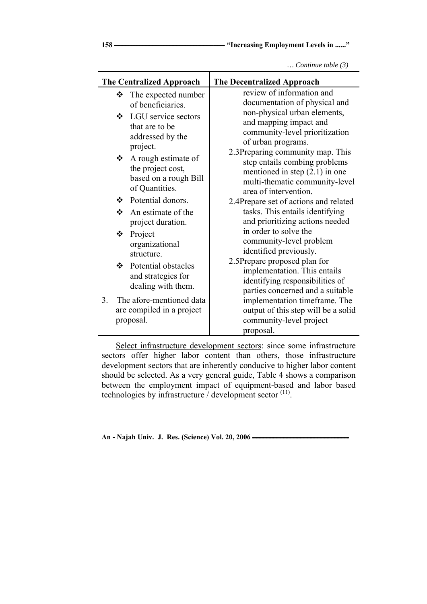| ۰.<br>۰.<br>v<br>٠<br>v<br>× |  |
|------------------------------|--|

Ě.

*… Continue table (3)*

| <b>The Centralized Approach</b><br><b>The Decentralized Approach</b>                                                                                                                                                                                                                                                                                                                                                                                                                                                                                                                                                                                                                                                                                                                                                                                                                                                                                                                                                                                                                                            |  |
|-----------------------------------------------------------------------------------------------------------------------------------------------------------------------------------------------------------------------------------------------------------------------------------------------------------------------------------------------------------------------------------------------------------------------------------------------------------------------------------------------------------------------------------------------------------------------------------------------------------------------------------------------------------------------------------------------------------------------------------------------------------------------------------------------------------------------------------------------------------------------------------------------------------------------------------------------------------------------------------------------------------------------------------------------------------------------------------------------------------------|--|
| review of information and<br>❖<br>The expected number<br>documentation of physical and<br>of beneficiaries.<br>non-physical urban elements,<br>❖ LGU service sectors<br>and mapping impact and<br>that are to be<br>community-level prioritization<br>addressed by the<br>of urban programs.<br>project.<br>2.3Preparing community map. This<br>$\triangle$ A rough estimate of<br>step entails combing problems<br>the project cost,<br>mentioned in step $(2.1)$ in one<br>based on a rough Bill<br>multi-thematic community-level<br>of Quantities.<br>area of intervention.<br>❖ Potential donors.<br>2.4Prepare set of actions and related<br>tasks. This entails identifying<br>An estimate of the<br>❖<br>and prioritizing actions needed<br>project duration.<br>in order to solve the<br>❖<br>Project<br>community-level problem<br>organizational<br>identified previously.<br>structure.<br>2.5Prepare proposed plan for<br>❖ Potential obstacles<br>implementation. This entails<br>and strategies for<br>identifying responsibilities of<br>dealing with them.<br>parties concerned and a suitable |  |
| The afore-mentioned data<br>3.<br>implementation timeframe. The<br>are compiled in a project<br>output of this step will be a solid<br>proposal.<br>community-level project                                                                                                                                                                                                                                                                                                                                                                                                                                                                                                                                                                                                                                                                                                                                                                                                                                                                                                                                     |  |
| proposal.                                                                                                                                                                                                                                                                                                                                                                                                                                                                                                                                                                                                                                                                                                                                                                                                                                                                                                                                                                                                                                                                                                       |  |

 Select infrastructure development sectors: since some infrastructure sectors offer higher labor content than others, those infrastructure development sectors that are inherently conducive to higher labor content should be selected. As a very general guide, Table 4 shows a comparison between the employment impact of equipment-based and labor based technologies by infrastructure / development sector <sup>(11)</sup>.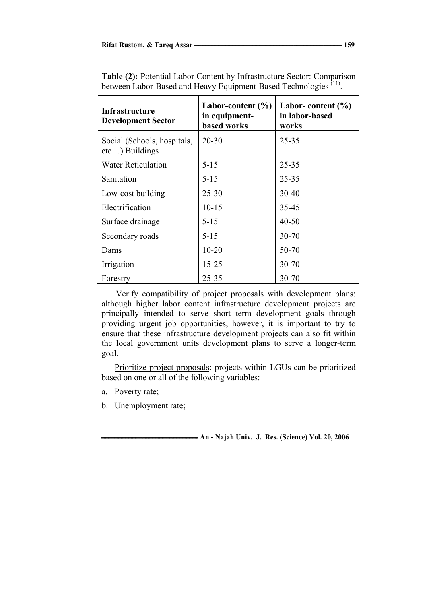| <b>Infrastructure</b><br><b>Development Sector</b> | Labor-content $(\% )$<br>in equipment-<br><b>based works</b> | Labor-content $(\% )$<br>in labor-based<br>works |  |
|----------------------------------------------------|--------------------------------------------------------------|--------------------------------------------------|--|
| Social (Schools, hospitals,<br>$etc$ ) Buildings   | $20 - 30$                                                    | $25 - 35$                                        |  |
| <b>Water Reticulation</b>                          | $5 - 15$                                                     | $25 - 35$                                        |  |
| Sanitation                                         | $5 - 15$                                                     | $25 - 35$                                        |  |
| Low-cost building                                  | $25 - 30$                                                    | $30 - 40$                                        |  |
| Electrification                                    | $10 - 15$                                                    | 35-45                                            |  |
| Surface drainage                                   | $5 - 15$                                                     | $40 - 50$                                        |  |
| Secondary roads                                    | $5 - 15$                                                     | 30-70                                            |  |
| Dams                                               | $10 - 20$                                                    | 50-70                                            |  |
| Irrigation                                         | $15 - 25$                                                    | $30 - 70$                                        |  |
| Forestry                                           | $25 - 35$                                                    | 30-70                                            |  |

**Table (2):** Potential Labor Content by Infrastructure Sector: Comparison between Labor-Based and Heavy Equipment-Based Technologies<sup>(11)</sup>.

Verify compatibility of project proposals with development plans: although higher labor content infrastructure development projects are principally intended to serve short term development goals through providing urgent job opportunities, however, it is important to try to ensure that these infrastructure development projects can also fit within the local government units development plans to serve a longer-term goal.

Prioritize project proposals: projects within LGUs can be prioritized based on one or all of the following variables:

- a. Poverty rate;
- b. Unemployment rate;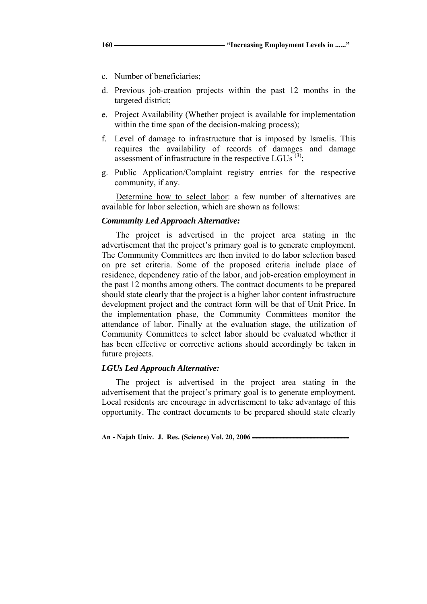- c. Number of beneficiaries;
- d. Previous job-creation projects within the past 12 months in the targeted district;
- e. Project Availability (Whether project is available for implementation within the time span of the decision-making process);
- f. Level of damage to infrastructure that is imposed by Israelis. This requires the availability of records of damages and damage assessment of infrastructure in the respective LGUs  $(3)$ ;
- g. Public Application/Complaint registry entries for the respective community, if any.

Determine how to select labor: a few number of alternatives are available for labor selection, which are shown as follows:

#### *Community Led Approach Alternative:*

The project is advertised in the project area stating in the advertisement that the project's primary goal is to generate employment. The Community Committees are then invited to do labor selection based on pre set criteria. Some of the proposed criteria include place of residence, dependency ratio of the labor, and job-creation employment in the past 12 months among others. The contract documents to be prepared should state clearly that the project is a higher labor content infrastructure development project and the contract form will be that of Unit Price. In the implementation phase, the Community Committees monitor the attendance of labor. Finally at the evaluation stage, the utilization of Community Committees to select labor should be evaluated whether it has been effective or corrective actions should accordingly be taken in future projects.

### *LGUs Led Approach Alternative:*

The project is advertised in the project area stating in the advertisement that the project's primary goal is to generate employment. Local residents are encourage in advertisement to take advantage of this opportunity. The contract documents to be prepared should state clearly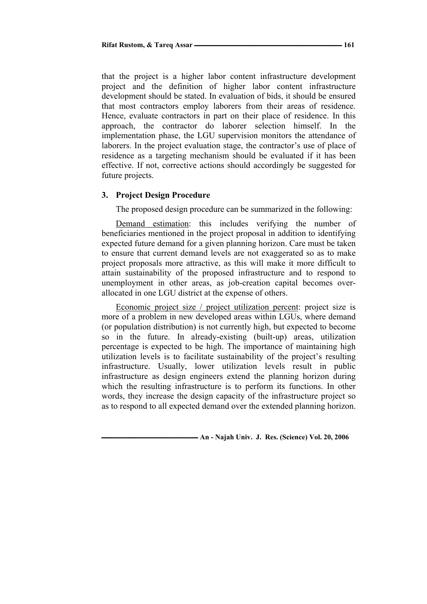that the project is a higher labor content infrastructure development project and the definition of higher labor content infrastructure development should be stated. In evaluation of bids, it should be ensured that most contractors employ laborers from their areas of residence. Hence, evaluate contractors in part on their place of residence. In this approach, the contractor do laborer selection himself. In the implementation phase, the LGU supervision monitors the attendance of laborers. In the project evaluation stage, the contractor's use of place of residence as a targeting mechanism should be evaluated if it has been effective. If not, corrective actions should accordingly be suggested for future projects.

#### **3. Project Design Procedure**

The proposed design procedure can be summarized in the following:

Demand estimation: this includes verifying the number of beneficiaries mentioned in the project proposal in addition to identifying expected future demand for a given planning horizon. Care must be taken to ensure that current demand levels are not exaggerated so as to make project proposals more attractive, as this will make it more difficult to attain sustainability of the proposed infrastructure and to respond to unemployment in other areas, as job-creation capital becomes overallocated in one LGU district at the expense of others.

Economic project size / project utilization percent: project size is more of a problem in new developed areas within LGUs, where demand (or population distribution) is not currently high, but expected to become so in the future. In already-existing (built-up) areas, utilization percentage is expected to be high. The importance of maintaining high utilization levels is to facilitate sustainability of the project's resulting infrastructure. Usually, lower utilization levels result in public infrastructure as design engineers extend the planning horizon during which the resulting infrastructure is to perform its functions. In other words, they increase the design capacity of the infrastructure project so as to respond to all expected demand over the extended planning horizon.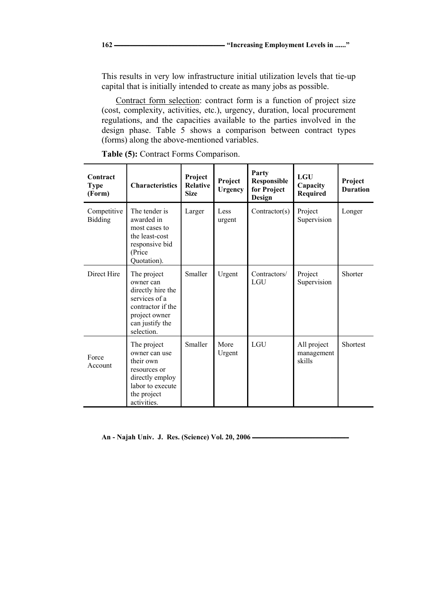This results in very low infrastructure initial utilization levels that tie-up capital that is initially intended to create as many jobs as possible.

Contract form selection: contract form is a function of project size (cost, complexity, activities, etc.), urgency, duration, local procurement regulations, and the capacities available to the parties involved in the design phase. Table 5 shows a comparison between contract types (forms) along the above-mentioned variables.

| Contract<br><b>Type</b><br>(Form) | <b>Characteristics</b>                                                                                                                | Project<br><b>Relative</b><br><b>Size</b> | Project<br>Urgency | Party<br><b>Responsible</b><br>for Project<br>Design | LGU<br>Capacity<br>Required         | Project<br><b>Duration</b> |
|-----------------------------------|---------------------------------------------------------------------------------------------------------------------------------------|-------------------------------------------|--------------------|------------------------------------------------------|-------------------------------------|----------------------------|
| Competitive<br><b>Bidding</b>     | The tender is<br>awarded in<br>most cases to<br>the least-cost<br>responsive bid<br>(Price<br>Quotation).                             | Larger                                    | Less<br>urgent     | Contractor(s)                                        | Project<br>Supervision              | Longer                     |
| Direct Hire                       | The project<br>owner can<br>directly hire the<br>services of a<br>contractor if the<br>project owner<br>can justify the<br>selection. | Smaller                                   | Urgent             | Contractors/<br><b>LGU</b>                           | Project<br>Supervision              | Shorter                    |
| Force<br>Account                  | The project<br>owner can use<br>their own<br>resources or<br>directly employ<br>labor to execute<br>the project<br>activities.        | Smaller                                   | More<br>Urgent     | LGU                                                  | All project<br>management<br>skills | Shortest                   |

**Table (5):** Contract Forms Comparison.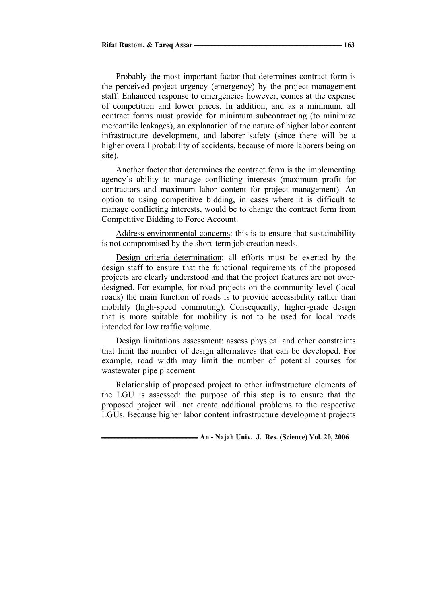Probably the most important factor that determines contract form is the perceived project urgency (emergency) by the project management staff. Enhanced response to emergencies however, comes at the expense of competition and lower prices. In addition, and as a minimum, all contract forms must provide for minimum subcontracting (to minimize mercantile leakages), an explanation of the nature of higher labor content infrastructure development, and laborer safety (since there will be a higher overall probability of accidents, because of more laborers being on site).

Another factor that determines the contract form is the implementing agency's ability to manage conflicting interests (maximum profit for contractors and maximum labor content for project management). An option to using competitive bidding, in cases where it is difficult to manage conflicting interests, would be to change the contract form from Competitive Bidding to Force Account.

Address environmental concerns: this is to ensure that sustainability is not compromised by the short-term job creation needs.

Design criteria determination: all efforts must be exerted by the design staff to ensure that the functional requirements of the proposed projects are clearly understood and that the project features are not overdesigned. For example, for road projects on the community level (local roads) the main function of roads is to provide accessibility rather than mobility (high-speed commuting). Consequently, higher-grade design that is more suitable for mobility is not to be used for local roads intended for low traffic volume.

Design limitations assessment: assess physical and other constraints that limit the number of design alternatives that can be developed. For example, road width may limit the number of potential courses for wastewater pipe placement.

Relationship of proposed project to other infrastructure elements of the LGU is assessed: the purpose of this step is to ensure that the proposed project will not create additional problems to the respective LGUs. Because higher labor content infrastructure development projects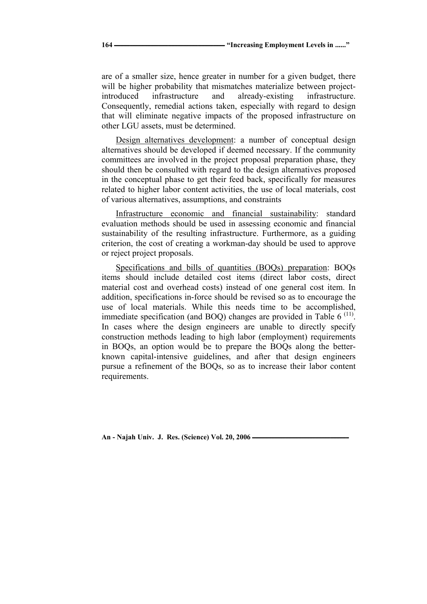are of a smaller size, hence greater in number for a given budget, there will be higher probability that mismatches materialize between projectintroduced infrastructure and already-existing infrastructure. Consequently, remedial actions taken, especially with regard to design that will eliminate negative impacts of the proposed infrastructure on other LGU assets, must be determined.

Design alternatives development: a number of conceptual design alternatives should be developed if deemed necessary. If the community committees are involved in the project proposal preparation phase, they should then be consulted with regard to the design alternatives proposed in the conceptual phase to get their feed back, specifically for measures related to higher labor content activities, the use of local materials, cost of various alternatives, assumptions, and constraints

Infrastructure economic and financial sustainability: standard evaluation methods should be used in assessing economic and financial sustainability of the resulting infrastructure. Furthermore, as a guiding criterion, the cost of creating a workman-day should be used to approve or reject project proposals.

Specifications and bills of quantities (BOQs) preparation: BOQs items should include detailed cost items (direct labor costs, direct material cost and overhead costs) instead of one general cost item. In addition, specifications in-force should be revised so as to encourage the use of local materials. While this needs time to be accomplished, immediate specification (and BOQ) changes are provided in Table  $6<sup>(11)</sup>$ . In cases where the design engineers are unable to directly specify construction methods leading to high labor (employment) requirements in BOQs, an option would be to prepare the BOQs along the betterknown capital-intensive guidelines, and after that design engineers pursue a refinement of the BOQs, so as to increase their labor content requirements.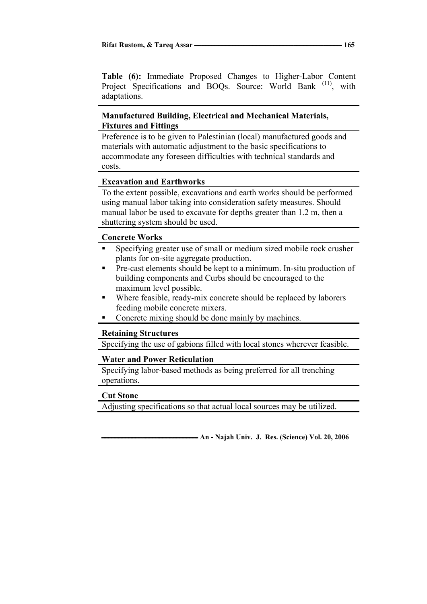**Table (6):** Immediate Proposed Changes to Higher-Labor Content Project Specifications and BOOs. Source: World Bank <sup>(11)</sup>, with adaptations.

## **Manufactured Building, Electrical and Mechanical Materials, Fixtures and Fittings**

Preference is to be given to Palestinian (local) manufactured goods and materials with automatic adjustment to the basic specifications to accommodate any foreseen difficulties with technical standards and costs.

## **Excavation and Earthworks**

To the extent possible, excavations and earth works should be performed using manual labor taking into consideration safety measures. Should manual labor be used to excavate for depths greater than 1.2 m, then a shuttering system should be used.

## **Concrete Works**

- Specifying greater use of small or medium sized mobile rock crusher plants for on-site aggregate production.
- Pre-cast elements should be kept to a minimum. In-situ production of building components and Curbs should be encouraged to the maximum level possible.
- Where feasible, ready-mix concrete should be replaced by laborers feeding mobile concrete mixers.
- Concrete mixing should be done mainly by machines.

### **Retaining Structures**

Specifying the use of gabions filled with local stones wherever feasible.

### **Water and Power Reticulation**

Specifying labor-based methods as being preferred for all trenching operations.

### **Cut Stone**

Adjusting specifications so that actual local sources may be utilized.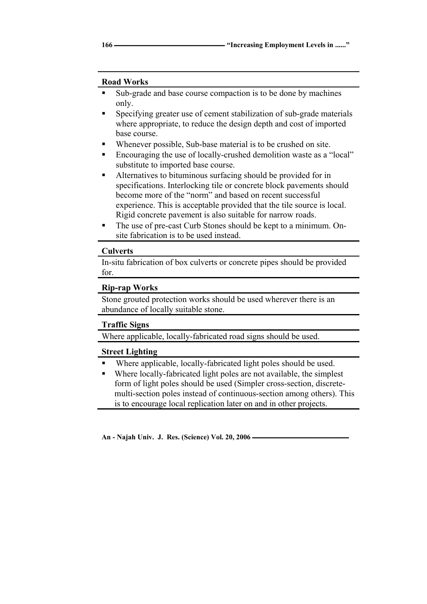### **Road Works**

- Sub-grade and base course compaction is to be done by machines only.
- Specifying greater use of cement stabilization of sub-grade materials where appropriate, to reduce the design depth and cost of imported base course.
- Whenever possible, Sub-base material is to be crushed on site.
- Encouraging the use of locally-crushed demolition waste as a "local" substitute to imported base course.
- Alternatives to bituminous surfacing should be provided for in specifications. Interlocking tile or concrete block pavements should become more of the "norm" and based on recent successful experience. This is acceptable provided that the tile source is local. Rigid concrete pavement is also suitable for narrow roads.
- The use of pre-cast Curb Stones should be kept to a minimum. Onsite fabrication is to be used instead.

### **Culverts**

In-situ fabrication of box culverts or concrete pipes should be provided for.

### **Rip-rap Works**

Stone grouted protection works should be used wherever there is an abundance of locally suitable stone.

### **Traffic Signs**

Where applicable, locally-fabricated road signs should be used.

### **Street Lighting**

- Where applicable, locally-fabricated light poles should be used.
- Where locally-fabricated light poles are not available, the simplest form of light poles should be used (Simpler cross-section, discretemulti-section poles instead of continuous-section among others). This is to encourage local replication later on and in other projects.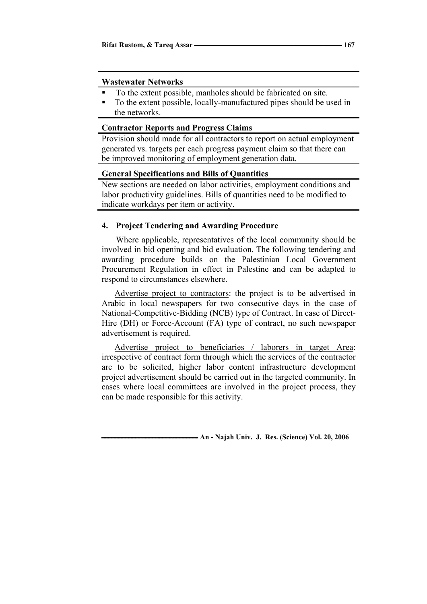### **Wastewater Networks**

- To the extent possible, manholes should be fabricated on site.
- To the extent possible, locally-manufactured pipes should be used in the networks.

### **Contractor Reports and Progress Claims**

Provision should made for all contractors to report on actual employment generated vs. targets per each progress payment claim so that there can be improved monitoring of employment generation data.

### **General Specifications and Bills of Quantities**

New sections are needed on labor activities, employment conditions and labor productivity guidelines. Bills of quantities need to be modified to indicate workdays per item or activity.

### **4. Project Tendering and Awarding Procedure**

Where applicable, representatives of the local community should be involved in bid opening and bid evaluation. The following tendering and awarding procedure builds on the Palestinian Local Government Procurement Regulation in effect in Palestine and can be adapted to respond to circumstances elsewhere.

Advertise project to contractors: the project is to be advertised in Arabic in local newspapers for two consecutive days in the case of National-Competitive-Bidding (NCB) type of Contract. In case of Direct-Hire (DH) or Force-Account (FA) type of contract, no such newspaper advertisement is required.

Advertise project to beneficiaries / laborers in target Area: irrespective of contract form through which the services of the contractor are to be solicited, higher labor content infrastructure development project advertisement should be carried out in the targeted community. In cases where local committees are involved in the project process, they can be made responsible for this activity.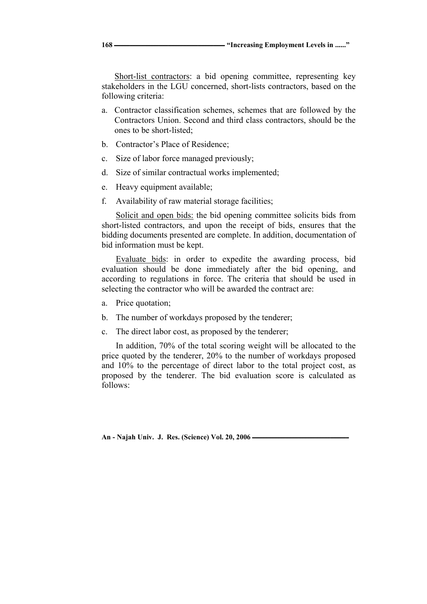Short-list contractors: a bid opening committee, representing key stakeholders in the LGU concerned, short-lists contractors, based on the following criteria:

- a. Contractor classification schemes, schemes that are followed by the Contractors Union. Second and third class contractors, should be the ones to be short-listed;
- b. Contractor's Place of Residence;
- c. Size of labor force managed previously;
- d. Size of similar contractual works implemented;
- e. Heavy equipment available;
- f. Availability of raw material storage facilities;

Solicit and open bids: the bid opening committee solicits bids from short-listed contractors, and upon the receipt of bids, ensures that the bidding documents presented are complete. In addition, documentation of bid information must be kept.

Evaluate bids: in order to expedite the awarding process, bid evaluation should be done immediately after the bid opening, and according to regulations in force. The criteria that should be used in selecting the contractor who will be awarded the contract are:

- a. Price quotation;
- b. The number of workdays proposed by the tenderer;
- c. The direct labor cost, as proposed by the tenderer;

In addition, 70% of the total scoring weight will be allocated to the price quoted by the tenderer, 20% to the number of workdays proposed and 10% to the percentage of direct labor to the total project cost, as proposed by the tenderer. The bid evaluation score is calculated as follows: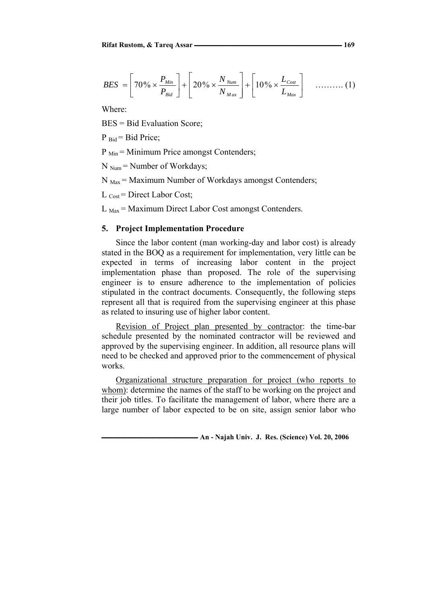$$
BES = \left[70\% \times \frac{P_{Min}}{P_{Bid}}\right] + \left[20\% \times \frac{N_{Num}}{N_{Max}}\right] + \left[10\% \times \frac{L_{Cost}}{L_{Max}}\right] \quad \dots \dots \dots \tag{1}
$$

Where:

BES = Bid Evaluation Score;

 $P_{\text{Bid}} = \text{Bid Price}$ ;

 $P_{\text{Min}}$  = Minimum Price amongst Contenders;

 $N_{Num}$  = Number of Workdays;

 $N_{\text{Max}}$  = Maximum Number of Workdays amongst Contenders;

 $L_{\text{Cost}}$  = Direct Labor Cost;

 $L_{\text{Max}}$  = Maximum Direct Labor Cost amongst Contenders.

#### **5. Project Implementation Procedure**

Since the labor content (man working-day and labor cost) is already stated in the BOQ as a requirement for implementation, very little can be expected in terms of increasing labor content in the project implementation phase than proposed. The role of the supervising engineer is to ensure adherence to the implementation of policies stipulated in the contract documents. Consequently, the following steps represent all that is required from the supervising engineer at this phase as related to insuring use of higher labor content.

Revision of Project plan presented by contractor: the time-bar schedule presented by the nominated contractor will be reviewed and approved by the supervising engineer. In addition, all resource plans will need to be checked and approved prior to the commencement of physical works.

Organizational structure preparation for project (who reports to whom): determine the names of the staff to be working on the project and their job titles. To facilitate the management of labor, where there are a large number of labor expected to be on site, assign senior labor who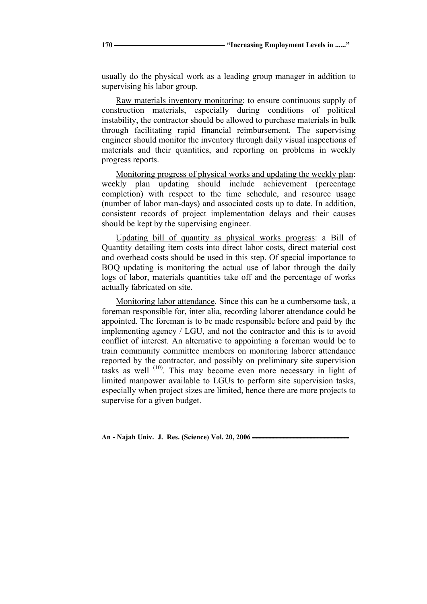usually do the physical work as a leading group manager in addition to supervising his labor group.

Raw materials inventory monitoring: to ensure continuous supply of construction materials, especially during conditions of political instability, the contractor should be allowed to purchase materials in bulk through facilitating rapid financial reimbursement. The supervising engineer should monitor the inventory through daily visual inspections of materials and their quantities, and reporting on problems in weekly progress reports.

Monitoring progress of physical works and updating the weekly plan: weekly plan updating should include achievement (percentage completion) with respect to the time schedule, and resource usage (number of labor man-days) and associated costs up to date. In addition, consistent records of project implementation delays and their causes should be kept by the supervising engineer.

Updating bill of quantity as physical works progress: a Bill of Quantity detailing item costs into direct labor costs, direct material cost and overhead costs should be used in this step. Of special importance to BOQ updating is monitoring the actual use of labor through the daily logs of labor, materials quantities take off and the percentage of works actually fabricated on site.

Monitoring labor attendance. Since this can be a cumbersome task, a foreman responsible for, inter alia, recording laborer attendance could be appointed. The foreman is to be made responsible before and paid by the implementing agency / LGU, and not the contractor and this is to avoid conflict of interest. An alternative to appointing a foreman would be to train community committee members on monitoring laborer attendance reported by the contractor, and possibly on preliminary site supervision tasks as well (10). This may become even more necessary in light of limited manpower available to LGUs to perform site supervision tasks, especially when project sizes are limited, hence there are more projects to supervise for a given budget.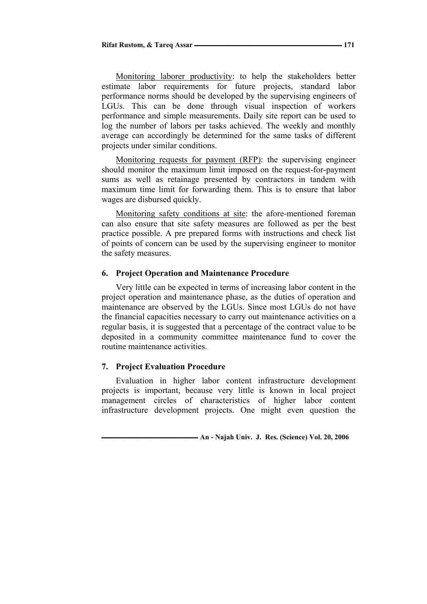Monitoring laborer productivity: to help the stakeholders better estimate labor requirements for future projects, standard labor performance norms should be developed by the supervising engineers of LGUs. This can be done through visual inspection of workers performance and simple measurements. Daily site report can be used to log the number of labors per tasks achieved. The weekly and monthly average can accordingly be determined for the same tasks of different projects under similar conditions.

Monitoring requests for payment (RFP): the supervising engineer should monitor the maximum limit imposed on the request-for-payment sums as well as retainage presented by contractors in tandem with maximum time limit for forwarding them. This is to ensure that labor wages are disbursed quickly.

Monitoring safety conditions at site: the afore-mentioned foreman can also ensure that site safety measures are followed as per the best practice possible. A pre prepared forms with instructions and check list of points of concern can be used by the supervising engineer to monitor the safety measures.

### **6. Project Operation and Maintenance Procedure**

Very little can be expected in terms of increasing labor content in the project operation and maintenance phase, as the duties of operation and maintenance are observed by the LGUs. Since most LGUs do not have the financial capacities necessary to carry out maintenance activities on a regular basis, it is suggested that a percentage of the contract value to be deposited in a community committee maintenance fund to cover the routine maintenance activities.

#### **7. Project Evaluation Procedure**

Evaluation in higher labor content infrastructure development projects is important, because very little is known in local project management circles of characteristics of higher labor content infrastructure development projects. One might even question the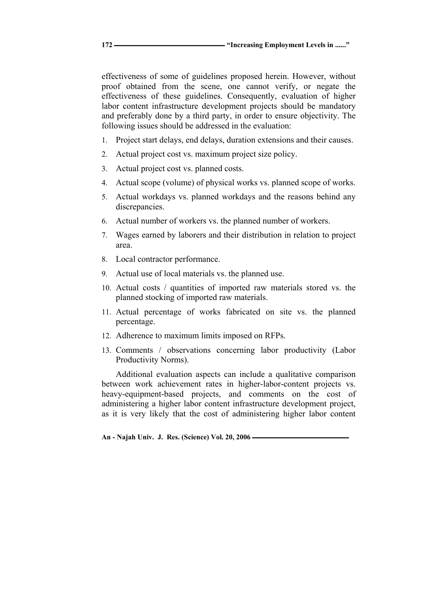effectiveness of some of guidelines proposed herein. However, without proof obtained from the scene, one cannot verify, or negate the effectiveness of these guidelines. Consequently, evaluation of higher labor content infrastructure development projects should be mandatory and preferably done by a third party, in order to ensure objectivity. The following issues should be addressed in the evaluation:

- 1. Project start delays, end delays, duration extensions and their causes.
- 2. Actual project cost vs. maximum project size policy.
- 3. Actual project cost vs. planned costs.
- 4. Actual scope (volume) of physical works vs. planned scope of works.
- 5. Actual workdays vs. planned workdays and the reasons behind any discrepancies.
- 6. Actual number of workers vs. the planned number of workers.
- 7. Wages earned by laborers and their distribution in relation to project area.
- 8. Local contractor performance.
- 9. Actual use of local materials vs. the planned use.
- 10. Actual costs / quantities of imported raw materials stored vs. the planned stocking of imported raw materials.
- 11. Actual percentage of works fabricated on site vs. the planned percentage.
- 12. Adherence to maximum limits imposed on RFPs.
- 13. Comments / observations concerning labor productivity (Labor Productivity Norms).

Additional evaluation aspects can include a qualitative comparison between work achievement rates in higher-labor-content projects vs. heavy-equipment-based projects, and comments on the cost of administering a higher labor content infrastructure development project, as it is very likely that the cost of administering higher labor content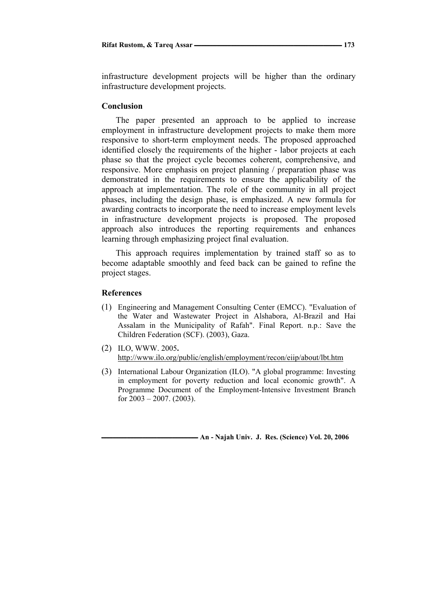infrastructure development projects will be higher than the ordinary infrastructure development projects.

### **Conclusion**

The paper presented an approach to be applied to increase employment in infrastructure development projects to make them more responsive to short-term employment needs. The proposed approached identified closely the requirements of the higher - labor projects at each phase so that the project cycle becomes coherent, comprehensive, and responsive. More emphasis on project planning / preparation phase was demonstrated in the requirements to ensure the applicability of the approach at implementation. The role of the community in all project phases, including the design phase, is emphasized. A new formula for awarding contracts to incorporate the need to increase employment levels in infrastructure development projects is proposed. The proposed approach also introduces the reporting requirements and enhances learning through emphasizing project final evaluation.

This approach requires implementation by trained staff so as to become adaptable smoothly and feed back can be gained to refine the project stages.

#### **References**

- (1) Engineering and Management Consulting Center (EMCC). "Evaluation of the Water and Wastewater Project in Alshabora, Al-Brazil and Hai Assalam in the Municipality of Rafah". Final Report. n.p.: Save the Children Federation (SCF). (2003), Gaza.
- (2) ILO, WWW. 2005**.**  http://www.ilo.org/public/english/employment/recon/eiip/about/lbt.htm
- (3) International Labour Organization (ILO). "A global programme: Investing in employment for poverty reduction and local economic growth". A Programme Document of the Employment-Intensive Investment Branch for 2003 – 2007. (2003).